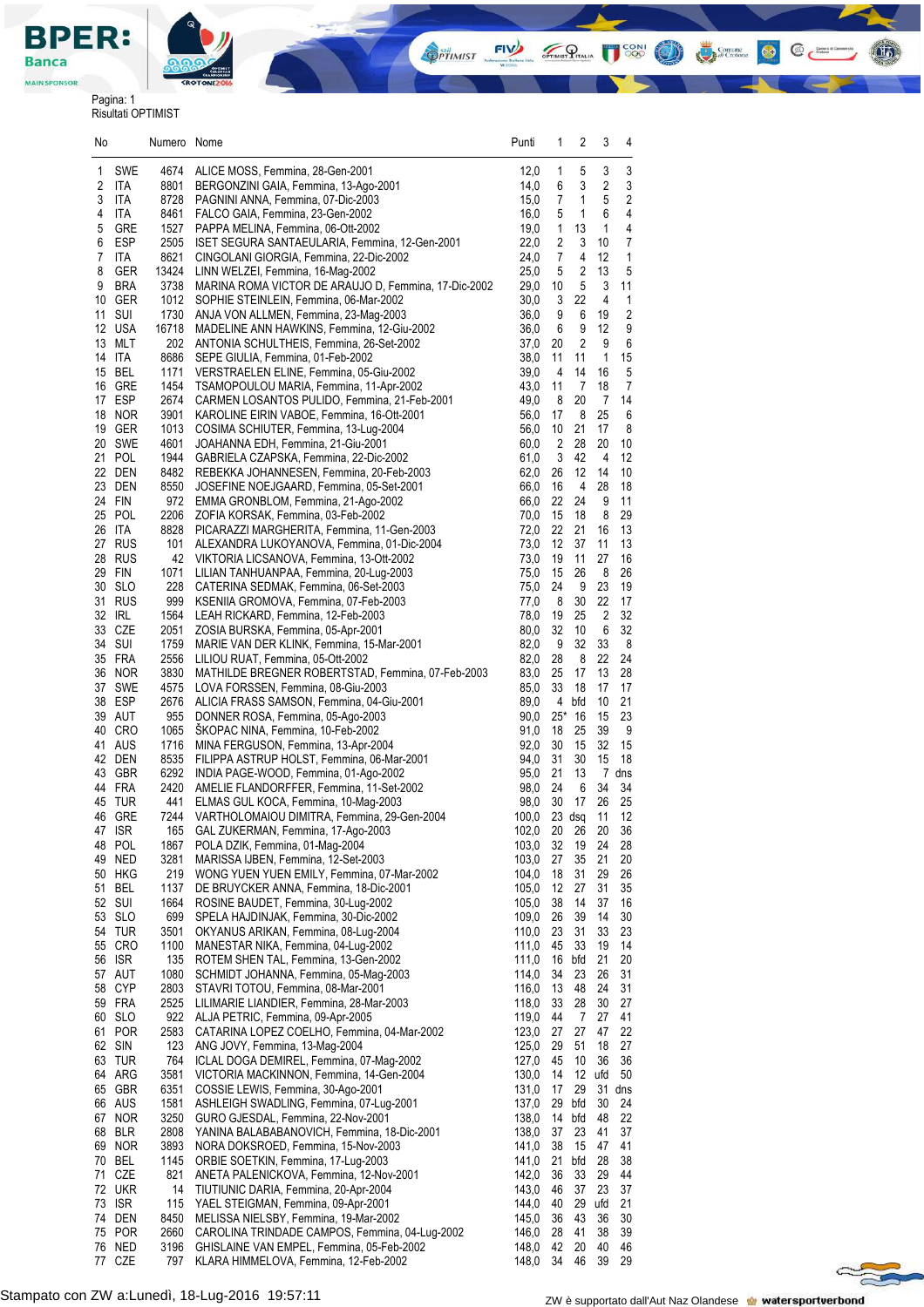

**MAIN SPONSOR** 

## Pagina: 1 Risultati OPTIMIST

| No     |                  | Numero        | Nome                                                                                    | Punti          | 1              | 2                    | 3                            | 4                     |  |
|--------|------------------|---------------|-----------------------------------------------------------------------------------------|----------------|----------------|----------------------|------------------------------|-----------------------|--|
| 1      | SWE              | 4674          | ALICE MOSS, Femmina, 28-Gen-2001                                                        | 12,0           | 1              | 5                    | 3                            | 3                     |  |
| 2      | <b>ITA</b>       | 8801          | BERGONZINI GAIA, Femmina, 13-Ago-2001                                                   | 14,0           | 6              | 3                    | $\sqrt{2}$                   | 3                     |  |
| 3      | ITA              | 8728          | PAGNINI ANNA, Femmina, 07-Dic-2003                                                      | 15,0           | 7              | 1                    | 5                            | 2                     |  |
| 4      | ITA              | 8461          | FALCO GAIA, Femmina, 23-Gen-2002                                                        | 16,0           | 5              | 1                    | 6                            | 4<br>4                |  |
| 5<br>6 | GRE<br>ESP       | 1527<br>2505  | PAPPA MELINA, Femmina, 06-Ott-2002<br>ISET SEGURA SANTAEULARIA, Femmina, 12-Gen-2001    | 19,0<br>22,0   | 1<br>2         | 13<br>3              | 1<br>10                      | 7                     |  |
| 7      | ITA              | 8621          | CINGOLANI GIORGIA, Femmina, 22-Dic-2002                                                 | 24,0           | 7              | 4                    | 12                           | 1                     |  |
| 8      | <b>GER</b>       | 13424         | LINN WELZEI, Femmina, 16-Mag-2002                                                       | 25,0           | 5              | 2                    | 13                           | 5                     |  |
| 9      | <b>BRA</b>       | 3738          | MARINA ROMA VICTOR DE ARAUJO D, Femmina, 17-Dic-2002                                    | 29,0           | 10             | 5                    | 3                            | 11                    |  |
| 10     | GER              | 1012          | SOPHIE STEINLEIN, Femmina, 06-Mar-2002                                                  | 30,0           | 3              | 22                   | 4                            | 1                     |  |
| 11     | SUI<br>12 USA    | 1730<br>16718 | ANJA VON ALLMEN, Femmina, 23-Mag-2003<br>MADELINE ANN HAWKINS, Femmina, 12-Giu-2002     | 36,0<br>36,0   | 9              | 6                    | 19<br>12                     | 2                     |  |
| 13     | MLT              | 202           | ANTONIA SCHULTHEIS, Femmina, 26-Set-2002                                                | 37,0           | 6<br>20        | 9<br>$\overline{2}$  | 9                            | 9<br>6                |  |
|        | 14 ITA           | 8686          | SEPE GIULIA, Femmina, 01-Feb-2002                                                       | 38,0           | 11             | 11                   | 1                            | 15                    |  |
| 15     | BEL              | 1171          | VERSTRAELEN ELINE, Femmina, 05-Giu-2002                                                 | 39,0           | 4              | 14                   | 16                           | 5                     |  |
|        | 16 GRE           | 1454          | TSAMOPOULOU MARIA, Femmina, 11-Apr-2002                                                 | 43,0           | 11             | $\overline{7}$       | 18                           | 7                     |  |
|        | 17 ESP           | 2674          | CARMEN LOSANTOS PULIDO, Femmina, 21-Feb-2001                                            | 49,0           | 8              | 20                   | 7                            | 14                    |  |
| 19     | 18 NOR<br>GER    | 3901<br>1013  | KAROLINE EIRIN VABOE, Femmina, 16-Ott-2001<br>COSIMA SCHIUTER, Femmina, 13-Lug-2004     | 56,0<br>56,0   | 17<br>10       | 8<br>21              | 25<br>17                     | $\boldsymbol{6}$<br>8 |  |
|        | 20 SWE           | 4601          | JOAHANNA EDH, Femmina, 21-Giu-2001                                                      | 60,0           | $\overline{2}$ | 28                   | 20                           | 10                    |  |
|        | 21 POL           | 1944          | GABRIELA CZAPSKA, Femmina, 22-Dic-2002                                                  | 61,0           | 3              | 42                   | 4                            | 12                    |  |
|        | 22 DEN           | 8482          | REBEKKA JOHANNESEN, Femmina, 20-Feb-2003                                                | 62,0           | 26             | 12                   | 14                           | 10                    |  |
|        | 23 DEN           | 8550          | JOSEFINE NOEJGAARD, Femmina, 05-Set-2001                                                | 66,0           | 16             | 4                    | 28                           | 18                    |  |
|        | 24 FIN           | 972           | EMMA GRONBLOM, Femmina, 21-Ago-2002                                                     | 66,0           | 22             | 24                   | 9                            | 11                    |  |
| 26     | 25 POL<br>ITA    | 2206<br>8828  | ZOFIA KORSAK, Femmina, 03-Feb-2002<br>PICARAZZI MARGHERITA, Femmina, 11-Gen-2003        | 70,0<br>72,0   | 15<br>22       | 18<br>21             | 8<br>16                      | 29<br>13              |  |
|        | 27 RUS           | 101           | ALEXANDRA LUKOYANOVA, Femmina, 01-Dic-2004                                              | 73,0           | 12             | 37                   | 11                           | 13                    |  |
|        | 28 RUS           | 42            | VIKTORIA LICSANOVA, Femmina, 13-Ott-2002                                                | 73,0           | 19             | 11                   | 27                           | 16                    |  |
|        | 29 FIN           | 1071          | LILIAN TANHUANPAA, Femmina, 20-Lug-2003                                                 | 75,0           | 15             | 26                   | 8                            | 26                    |  |
|        | 30 SLO           | 228           | CATERINA SEDMAK, Femmina, 06-Set-2003                                                   | 75,0           | 24             | 9                    | 23                           | 19                    |  |
|        | 31 RUS           | 999           | KSENIIA GROMOVA, Femmina, 07-Feb-2003                                                   | 77,0           | 8              | 30                   | 22                           | 17                    |  |
| 33     | 32 IRL<br>CZE    | 1564<br>2051  | LEAH RICKARD, Femmina, 12-Feb-2003<br>ZOSIA BURSKA, Femmina, 05-Apr-2001                | 78,0<br>80,0   | 19<br>32       | 25<br>10             | $\overline{\mathbf{c}}$<br>6 | 32<br>32              |  |
|        | 34 SUI           | 1759          | MARIE VAN DER KLINK, Femmina, 15-Mar-2001                                               | 82,0           | 9              | 32                   | 33                           | 8                     |  |
|        | 35 FRA           | 2556          | LILIOU RUAT, Femmina, 05-Ott-2002                                                       | 82,0           | 28             | 8                    | 22                           | 24                    |  |
|        | 36 NOR           | 3830          | MATHILDE BREGNER ROBERTSTAD, Femmina, 07-Feb-2003                                       | 83,0           | 25             | 17                   | 13                           | 28                    |  |
| 37     | SWE              | 4575          | LOVA FORSSEN, Femmina, 08-Giu-2003                                                      | 85,0           | 33             | 18                   | 17                           | 17                    |  |
|        | 38 ESP           | 2676          | ALICIA FRASS SAMSON, Femmina, 04-Giu-2001                                               | 89,0           | 4              | bfd                  | 10                           | 21                    |  |
|        | 39 AUT<br>40 CRO | 955<br>1065   | DONNER ROSA, Femmina, 05-Ago-2003<br>SKOPAC NINA, Femmina, 10-Feb-2002                  | 90,0<br>91,0   | $25*$<br>18    | -16<br>25            | 15<br>39                     | 23<br>9               |  |
|        | 41 AUS           | 1716          | MINA FERGUSON, Femmina, 13-Apr-2004                                                     | 92,0           | 30             | 15                   | 32                           | 15                    |  |
|        | 42 DEN           | 8535          | FILIPPA ASTRUP HOLST, Femmina, 06-Mar-2001                                              | 94,0           | 31             | 30                   | 15                           | 18                    |  |
|        | 43 GBR           | 6292          | INDIA PAGE-WOOD, Femmina, 01-Ago-2002                                                   | 95,0           | 21             | 13                   |                              | 7 dns                 |  |
|        | 44 FRA           | 2420          | AMELIE FLANDORFFER, Femmina, 11-Set-2002                                                | 98,0           | 24             | 6                    | 34                           | 34                    |  |
|        | 45 TUR           | 441           | ELMAS GUL KOCA, Femmina, 10-Mag-2003                                                    | 98,0           | 30             | 17                   | 26                           | 25                    |  |
|        | 46 GRE<br>47 ISR | 7244          | VARTHOLOMAIOU DIMITRA, Femmina, 29-Gen-2004<br>165 GAL ZUKERMAN, Femmina, 17-Ago-2003   | 100,0<br>102,0 |                | $23$ dsq<br>20 26    | 11<br>20                     | 12<br>36              |  |
| 48     | POL              | 1867          | POLA DZIK, Femmina, 01-Mag-2004                                                         | 103,0          | 32             | 19                   | 24                           | 28                    |  |
| 49     | <b>NED</b>       | 3281          | MARISSA IJBEN, Femmina, 12-Set-2003                                                     | 103,0          | 27             | 35                   | 21                           | 20                    |  |
| 50     | HKG              | 219           | WONG YUEN YUEN EMILY, Femmina, 07-Mar-2002                                              | 104,0          | 18             | 31                   | 29                           | 26                    |  |
|        | 51 BEL           | 1137          | DE BRUYCKER ANNA, Femmina, 18-Dic-2001                                                  | 105,0          | 12             | 27                   | 31                           | 35                    |  |
|        | 52 SUI           | 1664          | ROSINE BAUDET, Femmina, 30-Lug-2002                                                     | 105,0          | 38             | 14                   | 37                           | 16                    |  |
|        | 53 SLO<br>54 TUR | 699<br>3501   | SPELA HAJDINJAK, Femmina, 30-Dic-2002<br>OKYANUS ARIKAN, Femmina, 08-Lug-2004           | 109,0<br>110,0 | 26<br>23       | 39<br>31             | 14<br>33                     | 30<br>23              |  |
|        | 55 CRO           | 1100          | MANESTAR NIKA, Femmina, 04-Lug-2002                                                     | 111,0          | 45             | 33                   | 19                           | 14                    |  |
|        | 56 ISR           | 135           | ROTEM SHEN TAL, Femmina, 13-Gen-2002                                                    | 111,0          | 16             | bfd                  | 21                           | 20                    |  |
|        | 57 AUT           | 1080          | SCHMIDT JOHANNA, Femmina, 05-Mag-2003                                                   | 114,0          | 34             | 23                   | 26                           | 31                    |  |
|        | 58 CYP           | 2803          | STAVRI TOTOU, Femmina, 08-Mar-2001                                                      | 116,0          | 13             | 48                   | 24                           | 31                    |  |
|        | 59 FRA<br>60 SLO | 2525<br>922   | LILIMARIE LIANDIER, Femmina, 28-Mar-2003                                                | 118,0<br>119,0 | 33             | 28<br>$\overline{7}$ | 30<br>27                     | 27<br>41              |  |
|        | 61 POR           | 2583          | ALJA PETRIC, Femmina, 09-Apr-2005<br>CATARINA LOPEZ COELHO, Femmina, 04-Mar-2002        | 123,0          | 44<br>27       | 27                   | 47                           | 22                    |  |
|        | 62 SIN           | 123           | ANG JOVY, Femmina, 13-Mag-2004                                                          | 125,0          | 29             | 51                   | 18                           | 27                    |  |
|        | 63 TUR           | 764           | ICLAL DOGA DEMIREL, Femmina, 07-Mag-2002                                                | 127,0          | 45             | 10                   | 36                           | 36                    |  |
|        | 64 ARG           | 3581          | VICTORIA MACKINNON, Femmina, 14-Gen-2004                                                | 130,0          | 14             | 12                   | ufd                          | 50                    |  |
|        | 65 GBR           | 6351          | COSSIE LEWIS, Femmina, 30-Ago-2001                                                      | 131,0          | 17             | 29                   | 31                           | dns                   |  |
|        | 66 AUS           | 1581          | ASHLEIGH SWADLING, Femmina, 07-Lug-2001                                                 | 137,0          | 29             | bfd                  | 30                           | 24                    |  |
|        | 67 NOR<br>68 BLR | 3250<br>2808  | GURO GJESDAL, Femmina, 22-Nov-2001<br>YANINA BALABABANOVICH, Femmina, 18-Dic-2001       | 138,0<br>138,0 | 14<br>37       | bfd<br>23            | 48<br>41                     | 22<br>37              |  |
|        | 69 NOR           | 3893          | NORA DOKSROED, Femmina, 15-Nov-2003                                                     | 141,0          | 38             | 15                   | 47                           | 41                    |  |
|        | 70 BEL           | 1145          | ORBIE SOETKIN, Femmina, 17-Lug-2003                                                     | 141,0          | 21             | bfd                  | 28                           | 38                    |  |
|        | 71 CZE           | 821           | ANETA PALENICKOVA, Femmina, 12-Nov-2001                                                 | 142,0          | 36             | 33                   | 29                           | 44                    |  |
|        | 72 UKR           | 14            | TIUTIUNIC DARIA, Femmina, 20-Apr-2004                                                   | 143,0          | 46             | 37                   | 23                           | 37                    |  |
|        | 73 ISR           | 115<br>8450   | YAEL STEIGMAN, Femmina, 09-Apr-2001                                                     | 144,0<br>145,0 | 40             | 29<br>43             | ufd<br>36                    | 21<br>30              |  |
|        | 74 DEN<br>75 POR | 2660          | MELISSA NIELSBY, Femmina, 19-Mar-2002<br>CAROLINA TRINDADE CAMPOS, Femmina, 04-Lug-2002 | 146,0          | 36<br>28       | 41                   | 38                           | 39                    |  |
| 76     | NED              | 3196          | GHISLAINE VAN EMPEL, Femmina, 05-Feb-2002                                               | 148,0          | 42             | 20                   | 40                           | 46                    |  |
| 77     | CZE              | 797           | KLARA HIMMELOVA, Femmina, 12-Feb-2002                                                   | 148,0          | 34             | 46                   | 39                           | 29                    |  |

**OPTIMIST** 

OPTIMIST PITALIA

USON O CHARGE